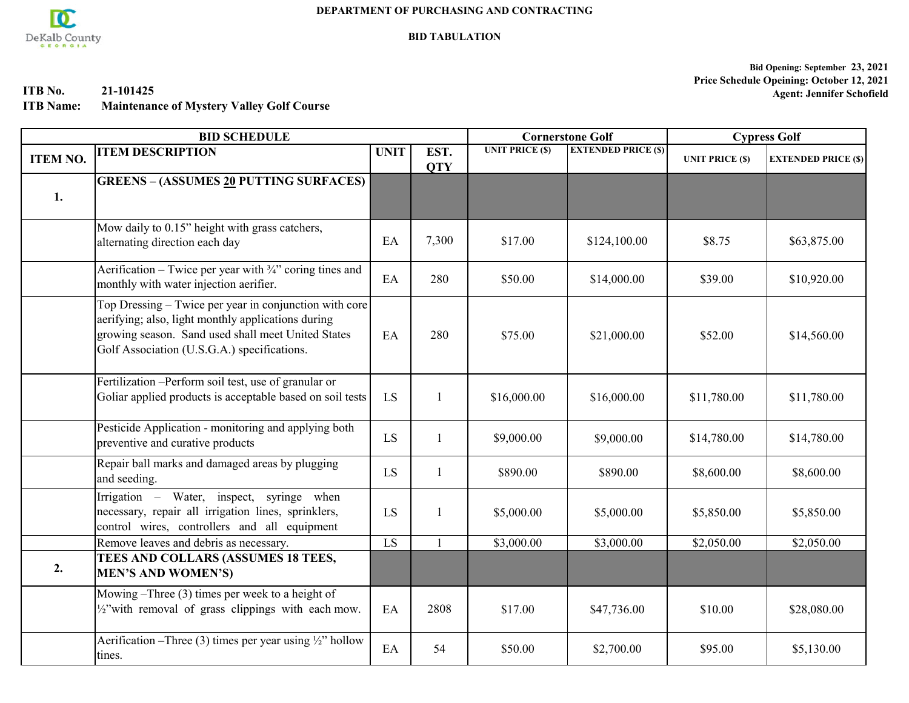

**BID TABULATION**

**ITB No. 21-101425**

**ITB Name: Maintenance of Mystery Valley Golf Course**

**Bid Opening: September 23, 2021 Price Schedule Opeining: October 12, 2021 Agent: Jennifer Schofield**

| <b>BID SCHEDULE</b> |                                                                                                                                                                                                                   |             |                    |                        | <b>Cornerstone Golf</b>    | <b>Cypress Golf</b>    |                            |
|---------------------|-------------------------------------------------------------------------------------------------------------------------------------------------------------------------------------------------------------------|-------------|--------------------|------------------------|----------------------------|------------------------|----------------------------|
| <b>ITEM NO.</b>     | <b>ITEM DESCRIPTION</b>                                                                                                                                                                                           | <b>UNIT</b> | EST.<br><b>QTY</b> | <b>UNIT PRICE (\$)</b> | <b>EXTENDED PRICE (\$)</b> | <b>UNIT PRICE (\$)</b> | <b>EXTENDED PRICE (\$)</b> |
| 1.                  | <b>GREENS - (ASSUMES 20 PUTTING SURFACES)</b>                                                                                                                                                                     |             |                    |                        |                            |                        |                            |
|                     | Mow daily to 0.15" height with grass catchers,<br>alternating direction each day                                                                                                                                  | EA          | 7,300              | \$17.00                | \$124,100.00               | \$8.75                 | \$63,875.00                |
|                     | Aerification – Twice per year with $\frac{3}{4}$ " coring tines and<br>monthly with water injection aerifier.                                                                                                     | EA          | 280                | \$50.00                | \$14,000.00                | \$39.00                | \$10,920.00                |
|                     | Top Dressing – Twice per year in conjunction with core<br>aerifying; also, light monthly applications during<br>growing season. Sand used shall meet United States<br>Golf Association (U.S.G.A.) specifications. | EA          | 280                | \$75.00                | \$21,000.00                | \$52.00                | \$14,560.00                |
|                     | Fertilization - Perform soil test, use of granular or<br>Goliar applied products is acceptable based on soil tests                                                                                                | LS          | 1                  | \$16,000.00            | \$16,000.00                | \$11,780.00            | \$11,780.00                |
|                     | Pesticide Application - monitoring and applying both<br>preventive and curative products                                                                                                                          | LS          |                    | \$9,000.00             | \$9,000.00                 | \$14,780.00            | \$14,780.00                |
|                     | Repair ball marks and damaged areas by plugging<br>and seeding.                                                                                                                                                   | LS          | 1                  | \$890.00               | \$890.00                   | \$8,600.00             | \$8,600.00                 |
|                     | Irrigation - Water, inspect, syringe when<br>necessary, repair all irrigation lines, sprinklers,<br>control wires, controllers and all equipment                                                                  | LS          | 1                  | \$5,000.00             | \$5,000.00                 | \$5,850.00             | \$5,850.00                 |
|                     | Remove leaves and debris as necessary.                                                                                                                                                                            | LS          |                    | \$3,000.00             | \$3,000.00                 | \$2,050.00             | \$2,050.00                 |
| 2.                  | TEES AND COLLARS (ASSUMES 18 TEES,<br><b>MEN'S AND WOMEN'S)</b>                                                                                                                                                   |             |                    |                        |                            |                        |                            |
|                     | Mowing $-$ Three (3) times per week to a height of<br>$\frac{1}{2}$ "with removal of grass clippings with each mow.                                                                                               | EA          | 2808               | \$17.00                | \$47,736.00                | \$10.00                | \$28,080.00                |
|                     | Aerification –Three (3) times per year using $\frac{1}{2}$ " hollow<br>tines.                                                                                                                                     | EA          | 54                 | \$50.00                | \$2,700.00                 | \$95.00                | \$5,130.00                 |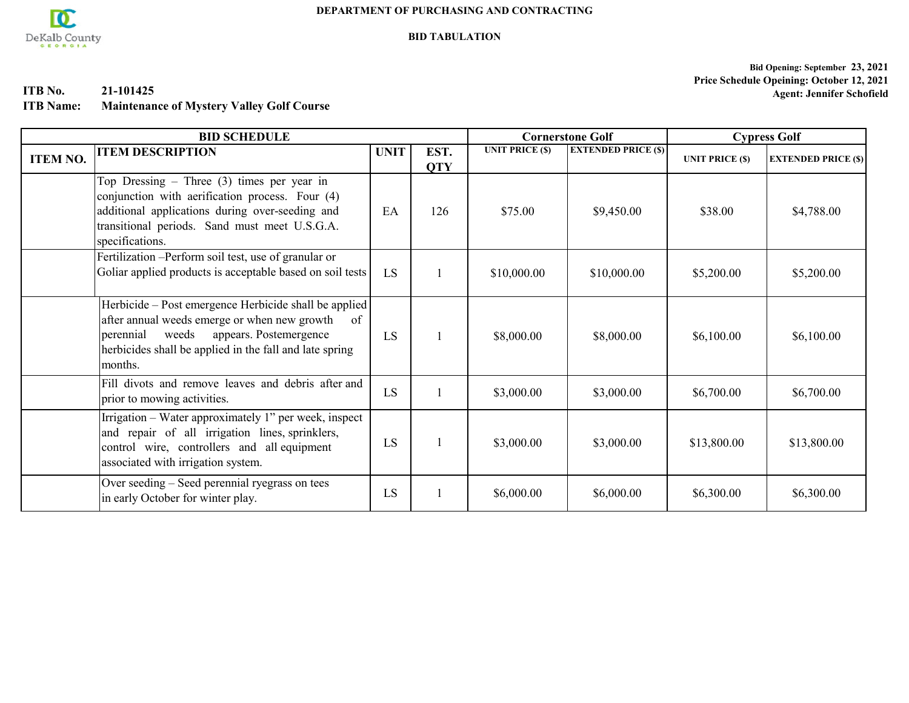

#### **BID TABULATION**

**Bid Opening: September 23, 2021 Price Schedule Opeining: October 12, 2021 Agent: Jennifer Schofield**

**ITB No. 21-101425**

**ITB Name: Maintenance of Mystery Valley Golf Course**

|                 | <b>BID SCHEDULE</b>                                                                                                                                                                                                               | <b>Cornerstone Golf</b> |                    | <b>Cypress Golf</b>    |                            |                        |                            |
|-----------------|-----------------------------------------------------------------------------------------------------------------------------------------------------------------------------------------------------------------------------------|-------------------------|--------------------|------------------------|----------------------------|------------------------|----------------------------|
| <b>ITEM NO.</b> | <b>ITEM DESCRIPTION</b>                                                                                                                                                                                                           | <b>UNIT</b>             | EST.<br><b>QTY</b> | <b>UNIT PRICE (\$)</b> | <b>EXTENDED PRICE (\$)</b> | <b>UNIT PRICE (\$)</b> | <b>EXTENDED PRICE (\$)</b> |
|                 | Top Dressing – Three $(3)$ times per year in<br>conjunction with aerification process. Four (4)<br>additional applications during over-seeding and<br>transitional periods. Sand must meet U.S.G.A.<br>specifications.            | EA                      | 126                | \$75.00                | \$9,450.00                 | \$38.00                | \$4,788.00                 |
|                 | Fertilization - Perform soil test, use of granular or<br>Goliar applied products is acceptable based on soil tests                                                                                                                | LS                      |                    | \$10,000.00            | \$10,000.00                | \$5,200.00             | \$5,200.00                 |
|                 | Herbicide - Post emergence Herbicide shall be applied<br>after annual weeds emerge or when new growth<br>of<br>appears. Postemergence<br>weeds<br>perennial<br>herbicides shall be applied in the fall and late spring<br>months. | LS                      |                    | \$8,000.00             | \$8,000.00                 | \$6,100.00             | \$6,100.00                 |
|                 | Fill divots and remove leaves and debris after and<br>prior to mowing activities.                                                                                                                                                 | LS                      |                    | \$3,000.00             | \$3,000.00                 | \$6,700.00             | \$6,700.00                 |
|                 | Irrigation – Water approximately 1" per week, inspect<br>and repair of all irrigation lines, sprinklers,<br>control wire, controllers and all equipment<br>associated with irrigation system.                                     | LS                      |                    | \$3,000.00             | \$3,000.00                 | \$13,800.00            | \$13,800.00                |
|                 | Over seeding – Seed perennial ryegrass on tees<br>in early October for winter play.                                                                                                                                               | LS                      |                    | \$6,000.00             | \$6,000.00                 | \$6,300.00             | \$6,300.00                 |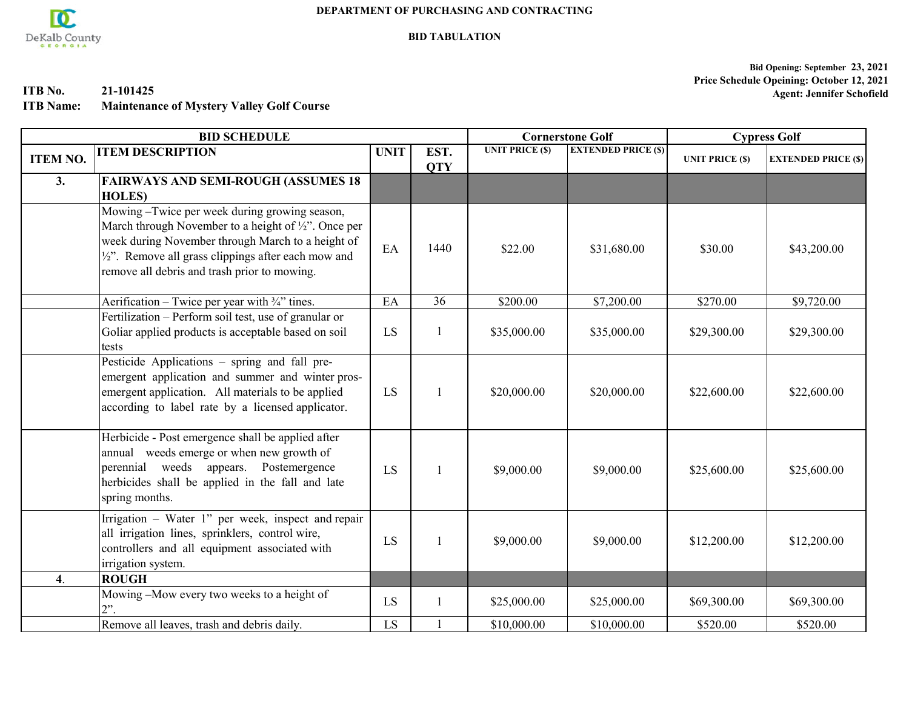

**BID TABULATION**

**ITB No. 21-101425**

**ITB Name: Maintenance of Mystery Valley Golf Course**

**Bid Opening: September 23, 2021 Price Schedule Opeining: October 12, 2021 Agent: Jennifer Schofield**

| <b>BID SCHEDULE</b> |                                                                                                                                                                                                                                                                                        |             |                    | <b>Cornerstone Golf</b> |                            | <b>Cypress Golf</b>    |                            |
|---------------------|----------------------------------------------------------------------------------------------------------------------------------------------------------------------------------------------------------------------------------------------------------------------------------------|-------------|--------------------|-------------------------|----------------------------|------------------------|----------------------------|
| <b>ITEM NO.</b>     | <b>ITEM DESCRIPTION</b>                                                                                                                                                                                                                                                                | <b>UNIT</b> | EST.<br><b>QTY</b> | <b>UNIT PRICE (\$)</b>  | <b>EXTENDED PRICE (\$)</b> | <b>UNIT PRICE (\$)</b> | <b>EXTENDED PRICE (\$)</b> |
| 3.                  | <b>FAIRWAYS AND SEMI-ROUGH (ASSUMES 18)</b><br><b>HOLES</b> )                                                                                                                                                                                                                          |             |                    |                         |                            |                        |                            |
|                     | Mowing -Twice per week during growing season,<br>March through November to a height of $\frac{1}{2}$ ". Once per<br>week during November through March to a height of<br>$\frac{1}{2}$ . Remove all grass clippings after each mow and<br>remove all debris and trash prior to mowing. | EA          | 1440               | \$22.00                 | \$31,680.00                | \$30.00                | \$43,200.00                |
|                     | Aerification – Twice per year with $\frac{3}{4}$ " tines.                                                                                                                                                                                                                              | EA          | 36                 | \$200.00                | \$7,200.00                 | \$270.00               | \$9,720.00                 |
|                     | Fertilization - Perform soil test, use of granular or<br>Goliar applied products is acceptable based on soil<br>tests                                                                                                                                                                  | LS          |                    | \$35,000.00             | \$35,000.00                | \$29,300.00            | \$29,300.00                |
|                     | Pesticide Applications - spring and fall pre-<br>emergent application and summer and winter pros-<br>emergent application. All materials to be applied<br>according to label rate by a licensed applicator.                                                                            | LS          |                    | \$20,000.00             | \$20,000.00                | \$22,600.00            | \$22,600.00                |
|                     | Herbicide - Post emergence shall be applied after<br>annual weeds emerge or when new growth of<br>perennial weeds appears. Postemergence<br>herbicides shall be applied in the fall and late<br>spring months.                                                                         | LS          |                    | \$9,000.00              | \$9,000.00                 | \$25,600.00            | \$25,600.00                |
|                     | Irrigation - Water 1" per week, inspect and repair<br>all irrigation lines, sprinklers, control wire,<br>controllers and all equipment associated with<br>irrigation system.                                                                                                           | LS          |                    | \$9,000.00              | \$9,000.00                 | \$12,200.00            | \$12,200.00                |
| $\overline{4}$ .    | <b>ROUGH</b>                                                                                                                                                                                                                                                                           |             |                    |                         |                            |                        |                            |
|                     | Mowing -Mow every two weeks to a height of<br>$2$ ".                                                                                                                                                                                                                                   | LS          |                    | \$25,000.00             | \$25,000.00                | \$69,300.00            | \$69,300.00                |
|                     | Remove all leaves, trash and debris daily.                                                                                                                                                                                                                                             | LS          |                    | \$10,000.00             | \$10,000.00                | \$520.00               | \$520.00                   |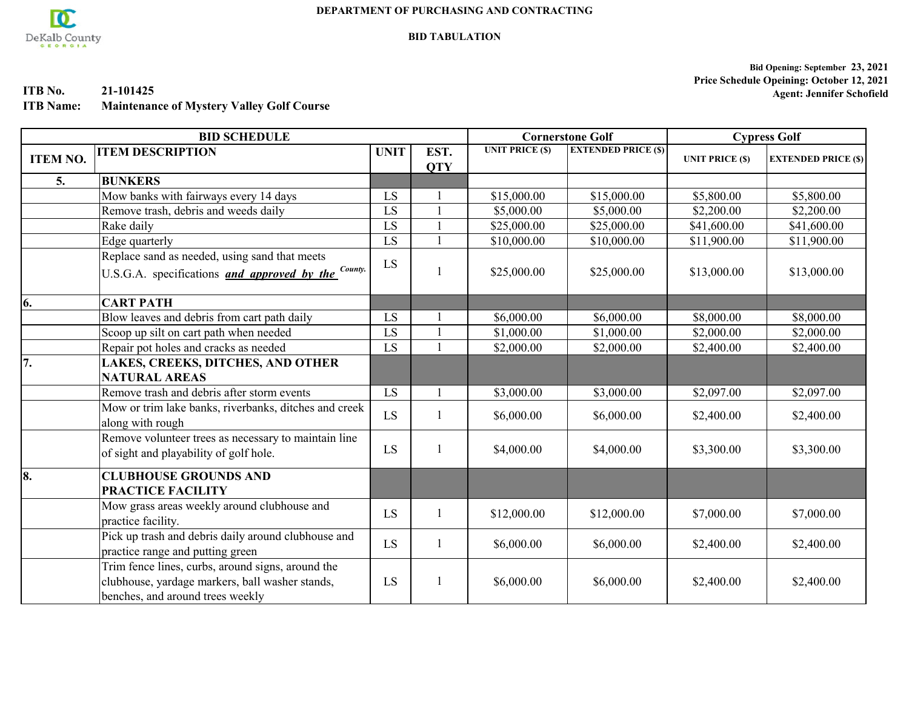

**BID TABULATION**

**ITB No. 21-101425**

**ITB Name: Maintenance of Mystery Valley Golf Course**

**Bid Opening: September 23, 2021 Price Schedule Opeining: October 12, 2021 Agent: Jennifer Schofield**

| <b>BID SCHEDULE</b> |                                                                                                                                          |             |                    | <b>Cornerstone Golf</b> |                            | <b>Cypress Golf</b>    |                            |
|---------------------|------------------------------------------------------------------------------------------------------------------------------------------|-------------|--------------------|-------------------------|----------------------------|------------------------|----------------------------|
| <b>ITEM NO.</b>     | <b>ITEM DESCRIPTION</b>                                                                                                                  | <b>UNIT</b> | EST.<br><b>QTY</b> | <b>UNIT PRICE (\$)</b>  | <b>EXTENDED PRICE (\$)</b> | <b>UNIT PRICE (\$)</b> | <b>EXTENDED PRICE (\$)</b> |
| 5.                  | <b>BUNKERS</b>                                                                                                                           |             |                    |                         |                            |                        |                            |
|                     | Mow banks with fairways every 14 days                                                                                                    | LS          |                    | \$15,000.00             | \$15,000.00                | \$5,800.00             | \$5,800.00                 |
|                     | Remove trash, debris and weeds daily                                                                                                     | LS          |                    | \$5,000.00              | \$5,000.00                 | \$2,200.00             | \$2,200.00                 |
|                     | Rake daily                                                                                                                               | LS          |                    | \$25,000.00             | \$25,000.00                | \$41,600.00            | \$41,600.00                |
|                     | Edge quarterly                                                                                                                           | LS          |                    | \$10,000.00             | \$10,000.00                | \$11,900.00            | \$11,900.00                |
|                     | Replace sand as needed, using sand that meets<br>U.S.G.A. specifications <i>and approved by the</i> <sup>County.</sup>                   | LS          |                    | \$25,000.00             | \$25,000.00                | \$13,000.00            | \$13,000.00                |
| 6.                  | <b>CART PATH</b>                                                                                                                         |             |                    |                         |                            |                        |                            |
|                     | Blow leaves and debris from cart path daily                                                                                              | LS          |                    | \$6,000.00              | \$6,000.00                 | \$8,000.00             | \$8,000.00                 |
|                     | Scoop up silt on cart path when needed                                                                                                   | LS          |                    | \$1,000.00              | \$1,000.00                 | \$2,000.00             | \$2,000.00                 |
|                     | Repair pot holes and cracks as needed                                                                                                    | LS          |                    | \$2,000.00              | \$2,000.00                 | \$2,400.00             | \$2,400.00                 |
| 17.                 | LAKES, CREEKS, DITCHES, AND OTHER<br><b>NATURAL AREAS</b>                                                                                |             |                    |                         |                            |                        |                            |
|                     | Remove trash and debris after storm events                                                                                               | LS          |                    | \$3,000.00              | \$3,000.00                 | \$2,097.00             | \$2,097.00                 |
|                     | Mow or trim lake banks, riverbanks, ditches and creek<br>along with rough                                                                | LS          |                    | \$6,000.00              | \$6,000.00                 | \$2,400.00             | \$2,400.00                 |
|                     | Remove volunteer trees as necessary to maintain line<br>of sight and playability of golf hole.                                           | LS          |                    | \$4,000.00              | \$4,000.00                 | \$3,300.00             | \$3,300.00                 |
| 8.                  | <b>CLUBHOUSE GROUNDS AND</b><br><b>PRACTICE FACILITY</b>                                                                                 |             |                    |                         |                            |                        |                            |
|                     | Mow grass areas weekly around clubhouse and<br>practice facility.                                                                        | LS.         |                    | \$12,000.00             | \$12,000.00                | \$7,000.00             | \$7,000.00                 |
|                     | Pick up trash and debris daily around clubhouse and<br>practice range and putting green                                                  | LS          |                    | \$6,000.00              | \$6,000.00                 | \$2,400.00             | \$2,400.00                 |
|                     | Trim fence lines, curbs, around signs, around the<br>clubhouse, yardage markers, ball washer stands,<br>benches, and around trees weekly | LS          |                    | \$6,000.00              | \$6,000.00                 | \$2,400.00             | \$2,400.00                 |